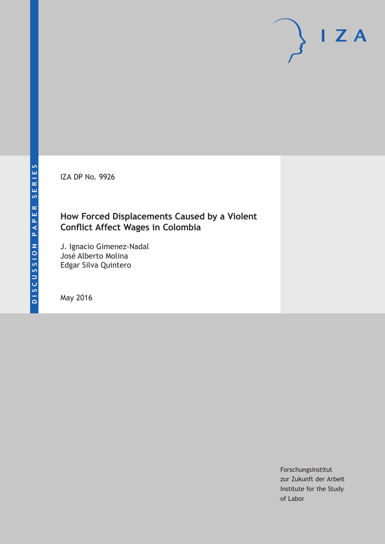IZA DP No. 9926

## **How Forced Displacements Caused by a Violent Conflict Affect Wages in Colombia**

J. Ignacio Gimenez-Nadal José Alberto Molina Edgar Silva Quintero

May 2016

Forschungsinstitut zur Zukunft der Arbeit Institute for the Study of Labor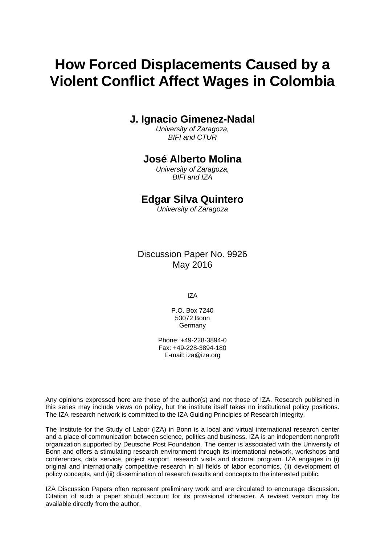# **How Forced Displacements Caused by a Violent Conflict Affect Wages in Colombia**

### **J. Ignacio Gimenez-Nadal**

*University of Zaragoza, BIFI and CTUR* 

### **José Alberto Molina**

*University of Zaragoza, BIFI and IZA* 

### **Edgar Silva Quintero**

*University of Zaragoza*

Discussion Paper No. 9926 May 2016

IZA

P.O. Box 7240 53072 Bonn Germany

Phone: +49-228-3894-0 Fax: +49-228-3894-180 E-mail: iza@iza.org

Any opinions expressed here are those of the author(s) and not those of IZA. Research published in this series may include views on policy, but the institute itself takes no institutional policy positions. The IZA research network is committed to the IZA Guiding Principles of Research Integrity.

The Institute for the Study of Labor (IZA) in Bonn is a local and virtual international research center and a place of communication between science, politics and business. IZA is an independent nonprofit organization supported by Deutsche Post Foundation. The center is associated with the University of Bonn and offers a stimulating research environment through its international network, workshops and conferences, data service, project support, research visits and doctoral program. IZA engages in (i) original and internationally competitive research in all fields of labor economics, (ii) development of policy concepts, and (iii) dissemination of research results and concepts to the interested public.

IZA Discussion Papers often represent preliminary work and are circulated to encourage discussion. Citation of such a paper should account for its provisional character. A revised version may be available directly from the author.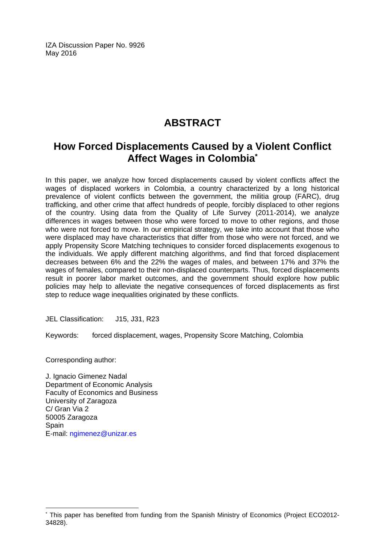IZA Discussion Paper No. 9926 May 2016

# **ABSTRACT**

# **How Forced Displacements Caused by a Violent Conflict Affect Wages in Colombia\***

In this paper, we analyze how forced displacements caused by violent conflicts affect the wages of displaced workers in Colombia, a country characterized by a long historical prevalence of violent conflicts between the government, the militia group (FARC), drug trafficking, and other crime that affect hundreds of people, forcibly displaced to other regions of the country. Using data from the Quality of Life Survey (2011-2014), we analyze differences in wages between those who were forced to move to other regions, and those who were not forced to move. In our empirical strategy, we take into account that those who were displaced may have characteristics that differ from those who were not forced, and we apply Propensity Score Matching techniques to consider forced displacements exogenous to the individuals. We apply different matching algorithms, and find that forced displacement decreases between 6% and the 22% the wages of males, and between 17% and 37% the wages of females, compared to their non-displaced counterparts. Thus, forced displacements result in poorer labor market outcomes, and the government should explore how public policies may help to alleviate the negative consequences of forced displacements as first step to reduce wage inequalities originated by these conflicts.

JEL Classification: J15, J31, R23

Keywords: forced displacement, wages, Propensity Score Matching, Colombia

Corresponding author:

 $\overline{a}$ 

J. Ignacio Gimenez Nadal Department of Economic Analysis Faculty of Economics and Business University of Zaragoza C/ Gran Via 2 50005 Zaragoza Spain E-mail: ngimenez@unizar.es

<sup>\*</sup> This paper has benefited from funding from the Spanish Ministry of Economics (Project ECO2012- 34828).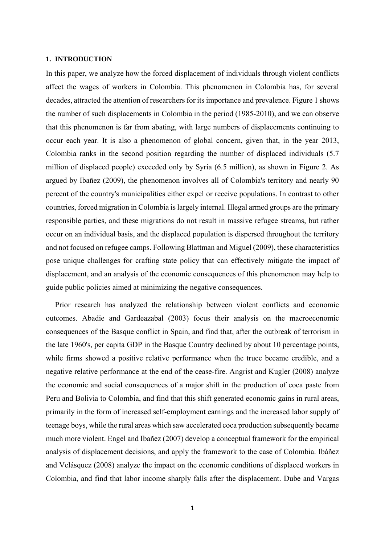#### **1. INTRODUCTION**

In this paper, we analyze how the forced displacement of individuals through violent conflicts affect the wages of workers in Colombia. This phenomenon in Colombia has, for several decades, attracted the attention of researchers for its importance and prevalence. Figure 1 shows the number of such displacements in Colombia in the period (1985-2010), and we can observe that this phenomenon is far from abating, with large numbers of displacements continuing to occur each year. It is also a phenomenon of global concern, given that, in the year 2013, Colombia ranks in the second position regarding the number of displaced individuals (5.7 million of displaced people) exceeded only by Syria (6.5 million), as shown in Figure 2. As argued by Ibañez (2009), the phenomenon involves all of Colombia's territory and nearly 90 percent of the country's municipalities either expel or receive populations. In contrast to other countries, forced migration in Colombia is largely internal. Illegal armed groups are the primary responsible parties, and these migrations do not result in massive refugee streams, but rather occur on an individual basis, and the displaced population is dispersed throughout the territory and not focused on refugee camps. Following Blattman and Miguel (2009), these characteristics pose unique challenges for crafting state policy that can effectively mitigate the impact of displacement, and an analysis of the economic consequences of this phenomenon may help to guide public policies aimed at minimizing the negative consequences.

Prior research has analyzed the relationship between violent conflicts and economic outcomes. Abadie and Gardeazabal (2003) focus their analysis on the macroeconomic consequences of the Basque conflict in Spain, and find that, after the outbreak of terrorism in the late 1960's, per capita GDP in the Basque Country declined by about 10 percentage points, while firms showed a positive relative performance when the truce became credible, and a negative relative performance at the end of the cease-fire. Angrist and Kugler (2008) analyze the economic and social consequences of a major shift in the production of coca paste from Peru and Bolivia to Colombia, and find that this shift generated economic gains in rural areas, primarily in the form of increased self-employment earnings and the increased labor supply of teenage boys, while the rural areas which saw accelerated coca production subsequently became much more violent. Engel and Ibañez (2007) develop a conceptual framework for the empirical analysis of displacement decisions, and apply the framework to the case of Colombia. Ibáñez and Velásquez (2008) analyze the impact on the economic conditions of displaced workers in Colombia, and find that labor income sharply falls after the displacement. Dube and Vargas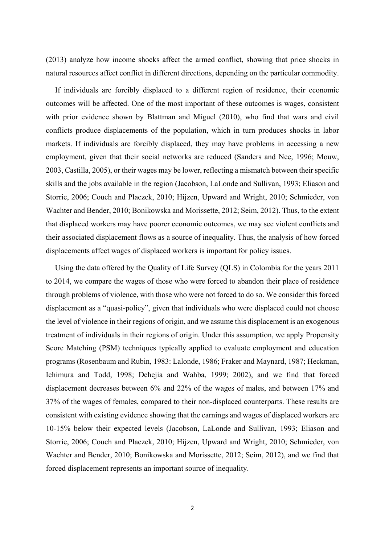(2013) analyze how income shocks affect the armed conflict, showing that price shocks in natural resources affect conflict in different directions, depending on the particular commodity.

If individuals are forcibly displaced to a different region of residence, their economic outcomes will be affected. One of the most important of these outcomes is wages, consistent with prior evidence shown by Blattman and Miguel (2010), who find that wars and civil conflicts produce displacements of the population, which in turn produces shocks in labor markets. If individuals are forcibly displaced, they may have problems in accessing a new employment, given that their social networks are reduced (Sanders and Nee, 1996; Mouw, 2003, Castilla, 2005), or their wages may be lower, reflecting a mismatch between their specific skills and the jobs available in the region (Jacobson, LaLonde and Sullivan, 1993; Eliason and Storrie, 2006; Couch and Placzek, 2010; Hijzen, Upward and Wright, 2010; Schmieder, von Wachter and Bender, 2010; Bonikowska and Morissette, 2012; Seim, 2012). Thus, to the extent that displaced workers may have poorer economic outcomes, we may see violent conflicts and their associated displacement flows as a source of inequality. Thus, the analysis of how forced displacements affect wages of displaced workers is important for policy issues.

Using the data offered by the Quality of Life Survey (QLS) in Colombia for the years 2011 to 2014, we compare the wages of those who were forced to abandon their place of residence through problems of violence, with those who were not forced to do so. We consider this forced displacement as a "quasi-policy", given that individuals who were displaced could not choose the level of violence in their regions of origin, and we assume this displacement is an exogenous treatment of individuals in their regions of origin. Under this assumption, we apply Propensity Score Matching (PSM) techniques typically applied to evaluate employment and education programs (Rosenbaum and Rubin, 1983: Lalonde, 1986; Fraker and Maynard, 1987; Heckman, Ichimura and Todd, 1998; Dehejia and Wahba, 1999; 2002), and we find that forced displacement decreases between 6% and 22% of the wages of males, and between 17% and 37% of the wages of females, compared to their non-displaced counterparts. These results are consistent with existing evidence showing that the earnings and wages of displaced workers are 10-15% below their expected levels (Jacobson, LaLonde and Sullivan, 1993; Eliason and Storrie, 2006; Couch and Placzek, 2010; Hijzen, Upward and Wright, 2010; Schmieder, von Wachter and Bender, 2010; Bonikowska and Morissette, 2012; Seim, 2012), and we find that forced displacement represents an important source of inequality.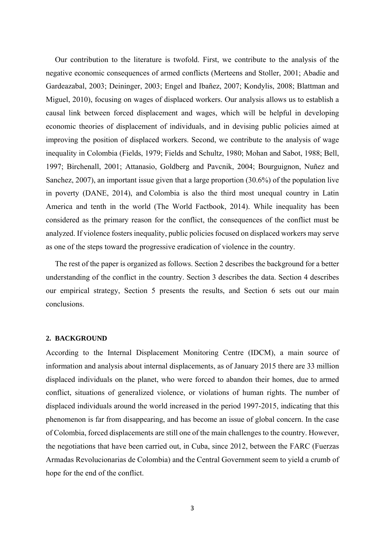Our contribution to the literature is twofold. First, we contribute to the analysis of the negative economic consequences of armed conflicts (Merteens and Stoller, 2001; Abadie and Gardeazabal, 2003; Deininger, 2003; Engel and Ibañez, 2007; Kondylis, 2008; Blattman and Miguel, 2010), focusing on wages of displaced workers. Our analysis allows us to establish a causal link between forced displacement and wages, which will be helpful in developing economic theories of displacement of individuals, and in devising public policies aimed at improving the position of displaced workers. Second, we contribute to the analysis of wage inequality in Colombia (Fields, 1979; Fields and Schultz, 1980; Mohan and Sabot, 1988; Bell, 1997; Birchenall, 2001; Attanasio, Goldberg and Pavcnik, 2004; Bourguignon, Nuñez and Sanchez, 2007), an important issue given that a large proportion (30.6%) of the population live in poverty (DANE, 2014), and Colombia is also the third most unequal country in Latin America and tenth in the world (The World Factbook, 2014). While inequality has been considered as the primary reason for the conflict, the consequences of the conflict must be analyzed. If violence fosters inequality, public policies focused on displaced workers may serve as one of the steps toward the progressive eradication of violence in the country.

The rest of the paper is organized as follows. Section 2 describes the background for a better understanding of the conflict in the country. Section 3 describes the data. Section 4 describes our empirical strategy, Section 5 presents the results, and Section 6 sets out our main conclusions.

#### **2. BACKGROUND**

According to the Internal Displacement Monitoring Centre (IDCM), a main source of information and analysis about internal displacements, as of January 2015 there are 33 million displaced individuals on the planet, who were forced to abandon their homes, due to armed conflict, situations of generalized violence, or violations of human rights. The number of displaced individuals around the world increased in the period 1997-2015, indicating that this phenomenon is far from disappearing, and has become an issue of global concern. In the case of Colombia, forced displacements are still one of the main challenges to the country. However, the negotiations that have been carried out, in Cuba, since 2012, between the FARC (Fuerzas Armadas Revolucionarias de Colombia) and the Central Government seem to yield a crumb of hope for the end of the conflict.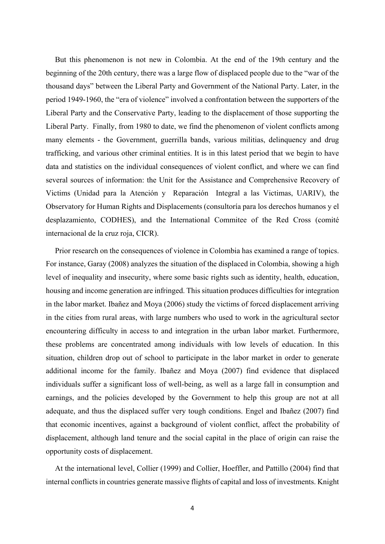But this phenomenon is not new in Colombia. At the end of the 19th century and the beginning of the 20th century, there was a large flow of displaced people due to the "war of the thousand days" between the Liberal Party and Government of the National Party. Later, in the period 1949-1960, the "era of violence" involved a confrontation between the supporters of the Liberal Party and the Conservative Party, leading to the displacement of those supporting the Liberal Party. Finally, from 1980 to date, we find the phenomenon of violent conflicts among many elements - the Government, guerrilla bands, various militias, delinquency and drug trafficking, and various other criminal entities. It is in this latest period that we begin to have data and statistics on the individual consequences of violent conflict, and where we can find several sources of information: the Unit for the Assistance and Comprehensive Recovery of Victims (Unidad para la Atención y Reparación Integral a las Victimas, UARIV), the Observatory for Human Rights and Displacements (consultoría para los derechos humanos y el desplazamiento, CODHES), and the International Commitee of the Red Cross (comité internacional de la cruz roja, CICR).

Prior research on the consequences of violence in Colombia has examined a range of topics. For instance, Garay (2008) analyzes the situation of the displaced in Colombia, showing a high level of inequality and insecurity, where some basic rights such as identity, health, education, housing and income generation are infringed. This situation produces difficulties for integration in the labor market. Ibañez and Moya (2006) study the victims of forced displacement arriving in the cities from rural areas, with large numbers who used to work in the agricultural sector encountering difficulty in access to and integration in the urban labor market. Furthermore, these problems are concentrated among individuals with low levels of education. In this situation, children drop out of school to participate in the labor market in order to generate additional income for the family. Ibañez and Moya (2007) find evidence that displaced individuals suffer a significant loss of well-being, as well as a large fall in consumption and earnings, and the policies developed by the Government to help this group are not at all adequate, and thus the displaced suffer very tough conditions. Engel and Ibañez (2007) find that economic incentives, against a background of violent conflict, affect the probability of displacement, although land tenure and the social capital in the place of origin can raise the opportunity costs of displacement.

At the international level, Collier (1999) and Collier, Hoeffler, and Pattillo (2004) find that internal conflicts in countries generate massive flights of capital and loss of investments. Knight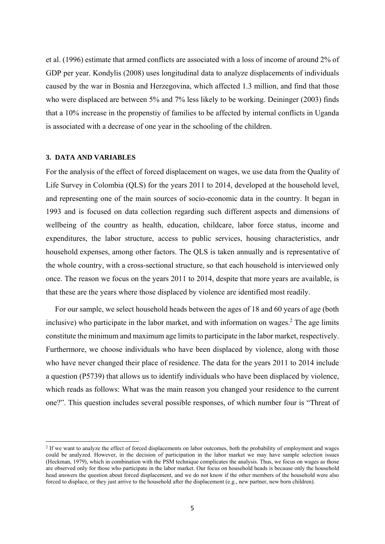et al. (1996) estimate that armed conflicts are associated with a loss of income of around 2% of GDP per year. Kondylis (2008) uses longitudinal data to analyze displacements of individuals caused by the war in Bosnia and Herzegovina, which affected 1.3 million, and find that those who were displaced are between 5% and 7% less likely to be working. Deininger (2003) finds that a 10% increase in the propenstiy of families to be affected by internal conflicts in Uganda is associated with a decrease of one year in the schooling of the children.

#### **3. DATA AND VARIABLES**

For the analysis of the effect of forced displacement on wages, we use data from the Quality of Life Survey in Colombia (QLS) for the years 2011 to 2014, developed at the household level, and representing one of the main sources of socio-economic data in the country. It began in 1993 and is focused on data collection regarding such different aspects and dimensions of wellbeing of the country as health, education, childcare, labor force status, income and expenditures, the labor structure, access to public services, housing characteristics, andr household expenses, among other factors. The QLS is taken annually and is representative of the whole country, with a cross-sectional structure, so that each household is interviewed only once. The reason we focus on the years 2011 to 2014, despite that more years are available, is that these are the years where those displaced by violence are identified most readily.

For our sample, we select household heads between the ages of 18 and 60 years of age (both inclusive) who participate in the labor market, and with information on wages.<sup>2</sup> The age limits constitute the minimum and maximum age limits to participate in the labor market, respectively. Furthermore, we choose individuals who have been displaced by violence, along with those who have never changed their place of residence. The data for the years 2011 to 2014 include a question (P5739) that allows us to identify individuals who have been displaced by violence, which reads as follows: What was the main reason you changed your residence to the current one?". This question includes several possible responses, of which number four is "Threat of

<sup>&</sup>lt;sup>2</sup> If we want to analyze the effect of forced displacements on labor outcomes, both the probability of employment and wages could be analyzed. However, in the decision of participation in the labor market we may have sample selection issues (Heckman, 1979), which in combination with the PSM technique complicates the analysis. Thus, we focus on wages as those are observed only for those who participate in the labor market. Our focus on household heads is because only the household head answers the question about forced displacement, and we do not know if the other members of the household were also forced to displace, or they just arrive to the household after the displacement (e.g., new partner, new born children).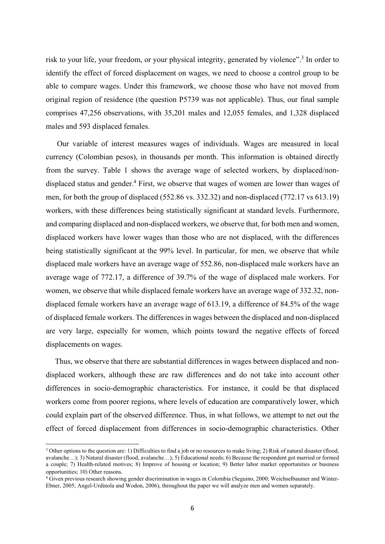risk to your life, your freedom, or your physical integrity, generated by violence".<sup>3</sup> In order to identify the effect of forced displacement on wages, we need to choose a control group to be able to compare wages. Under this framework, we choose those who have not moved from original region of residence (the question P5739 was not applicable). Thus, our final sample comprises 47,256 observations, with 35,201 males and 12,055 females, and 1,328 displaced males and 593 displaced females.

 Our variable of interest measures wages of individuals. Wages are measured in local currency (Colombian pesos), in thousands per month. This information is obtained directly from the survey. Table 1 shows the average wage of selected workers, by displaced/nondisplaced status and gender.<sup>4</sup> First, we observe that wages of women are lower than wages of men, for both the group of displaced (552.86 vs. 332.32) and non-displaced (772.17 vs 613.19) workers, with these differences being statistically significant at standard levels. Furthermore, and comparing displaced and non-displaced workers, we observe that, for both men and women, displaced workers have lower wages than those who are not displaced, with the differences being statistically significant at the 99% level. In particular, for men, we observe that while displaced male workers have an average wage of 552.86, non-displaced male workers have an average wage of 772.17, a difference of 39.7% of the wage of displaced male workers. For women, we observe that while displaced female workers have an average wage of 332.32, nondisplaced female workers have an average wage of 613.19, a difference of 84.5% of the wage of displaced female workers. The differences in wages between the displaced and non-displaced are very large, especially for women, which points toward the negative effects of forced displacements on wages.

Thus, we observe that there are substantial differences in wages between displaced and nondisplaced workers, although these are raw differences and do not take into account other differences in socio-demographic characteristics. For instance, it could be that displaced workers come from poorer regions, where levels of education are comparatively lower, which could explain part of the observed difference. Thus, in what follows, we attempt to net out the effect of forced displacement from differences in socio-demographic characteristics. Other

<sup>&</sup>lt;sup>3</sup> Other options to the question are: 1) Difficulties to find a job or no resources to make living; 2) Risk of natural disaster (flood, avalanche…); 3) Natural disaster (flood, avalanche…); 5) Educational needs; 6) Because the respondent got married or formed a couple; 7) Health-related motives; 8) Improve of housing or location; 9) Better labor market opportunities or business opportunities; 10) Other reasons.

<sup>4</sup> Given previous research showing gender discrimination in wages in Colombia (Seguino, 2000; Weichselbaumer and Winter-Ebner, 2005; Angel-Urdinola and Wodon, 2006), throughout the paper we will analyze men and women separately.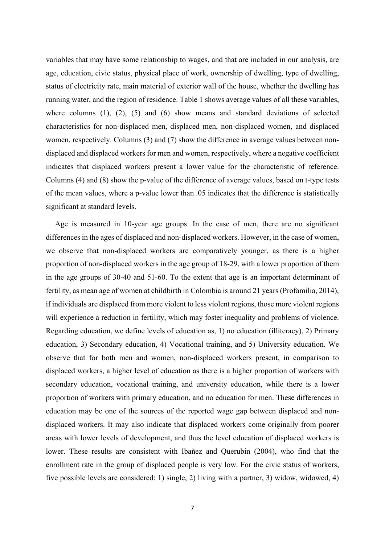variables that may have some relationship to wages, and that are included in our analysis, are age, education, civic status, physical place of work, ownership of dwelling, type of dwelling, status of electricity rate, main material of exterior wall of the house, whether the dwelling has running water, and the region of residence. Table 1 shows average values of all these variables, where columns (1), (2), (5) and (6) show means and standard deviations of selected characteristics for non-displaced men, displaced men, non-displaced women, and displaced women, respectively. Columns (3) and (7) show the difference in average values between nondisplaced and displaced workers for men and women, respectively, where a negative coefficient indicates that displaced workers present a lower value for the characteristic of reference. Columns (4) and (8) show the p-value of the difference of average values, based on t-type tests of the mean values, where a p-value lower than .05 indicates that the difference is statistically significant at standard levels.

Age is measured in 10-year age groups. In the case of men, there are no significant differences in the ages of displaced and non-displaced workers. However, in the case of women, we observe that non-displaced workers are comparatively younger, as there is a higher proportion of non-displaced workers in the age group of 18-29, with a lower proportion of them in the age groups of 30-40 and 51-60. To the extent that age is an important determinant of fertility, as mean age of women at childbirth in Colombia is around 21 years (Profamilia, 2014), if individuals are displaced from more violent to less violent regions, those more violent regions will experience a reduction in fertility, which may foster inequality and problems of violence. Regarding education, we define levels of education as, 1) no education (illiteracy), 2) Primary education, 3) Secondary education, 4) Vocational training, and 5) University education. We observe that for both men and women, non-displaced workers present, in comparison to displaced workers, a higher level of education as there is a higher proportion of workers with secondary education, vocational training, and university education, while there is a lower proportion of workers with primary education, and no education for men. These differences in education may be one of the sources of the reported wage gap between displaced and nondisplaced workers. It may also indicate that displaced workers come originally from poorer areas with lower levels of development, and thus the level education of displaced workers is lower. These results are consistent with Ibañez and Querubin (2004), who find that the enrollment rate in the group of displaced people is very low. For the civic status of workers, five possible levels are considered: 1) single, 2) living with a partner, 3) widow, widowed, 4)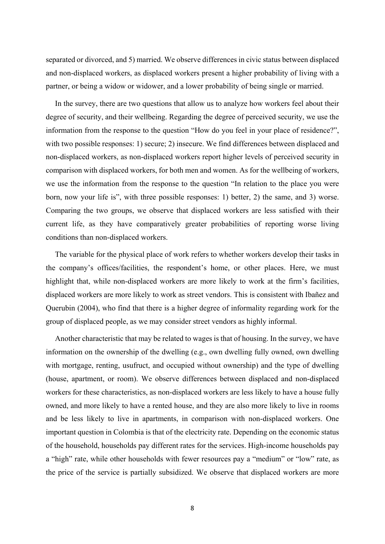separated or divorced, and 5) married. We observe differences in civic status between displaced and non-displaced workers, as displaced workers present a higher probability of living with a partner, or being a widow or widower, and a lower probability of being single or married.

In the survey, there are two questions that allow us to analyze how workers feel about their degree of security, and their wellbeing. Regarding the degree of perceived security, we use the information from the response to the question "How do you feel in your place of residence?", with two possible responses: 1) secure; 2) insecure. We find differences between displaced and non-displaced workers, as non-displaced workers report higher levels of perceived security in comparison with displaced workers, for both men and women. As for the wellbeing of workers, we use the information from the response to the question "In relation to the place you were born, now your life is", with three possible responses: 1) better, 2) the same, and 3) worse. Comparing the two groups, we observe that displaced workers are less satisfied with their current life, as they have comparatively greater probabilities of reporting worse living conditions than non-displaced workers.

The variable for the physical place of work refers to whether workers develop their tasks in the company's offices/facilities, the respondent's home, or other places. Here, we must highlight that, while non-displaced workers are more likely to work at the firm's facilities, displaced workers are more likely to work as street vendors. This is consistent with Ibañez and Querubin (2004), who find that there is a higher degree of informality regarding work for the group of displaced people, as we may consider street vendors as highly informal.

Another characteristic that may be related to wages is that of housing. In the survey, we have information on the ownership of the dwelling (e.g., own dwelling fully owned, own dwelling with mortgage, renting, usufruct, and occupied without ownership) and the type of dwelling (house, apartment, or room). We observe differences between displaced and non-displaced workers for these characteristics, as non-displaced workers are less likely to have a house fully owned, and more likely to have a rented house, and they are also more likely to live in rooms and be less likely to live in apartments, in comparison with non-displaced workers. One important question in Colombia is that of the electricity rate. Depending on the economic status of the household, households pay different rates for the services. High-income households pay a "high" rate, while other households with fewer resources pay a "medium" or "low" rate, as the price of the service is partially subsidized. We observe that displaced workers are more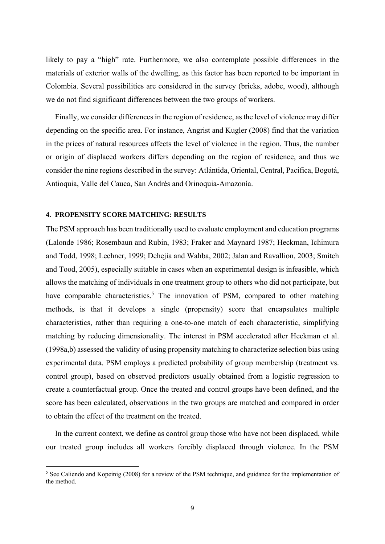likely to pay a "high" rate. Furthermore, we also contemplate possible differences in the materials of exterior walls of the dwelling, as this factor has been reported to be important in Colombia. Several possibilities are considered in the survey (bricks, adobe, wood), although we do not find significant differences between the two groups of workers.

Finally, we consider differences in the region of residence, as the level of violence may differ depending on the specific area. For instance, Angrist and Kugler (2008) find that the variation in the prices of natural resources affects the level of violence in the region. Thus, the number or origin of displaced workers differs depending on the region of residence, and thus we consider the nine regions described in the survey: Atlántida, Oriental, Central, Pacifica, Bogotá, Antioquia, Valle del Cauca, San Andrés and Orinoquia-Amazonía.

#### **4. PROPENSITY SCORE MATCHING: RESULTS**

The PSM approach has been traditionally used to evaluate employment and education programs (Lalonde 1986; Rosembaun and Rubin, 1983; Fraker and Maynard 1987; Heckman, Ichimura and Todd, 1998; Lechner, 1999; Dehejia and Wahba, 2002; Jalan and Ravallion, 2003; Smitch and Tood, 2005), especially suitable in cases when an experimental design is infeasible, which allows the matching of individuals in one treatment group to others who did not participate, but have comparable characteristics.<sup>5</sup> The innovation of PSM, compared to other matching methods, is that it develops a single (propensity) score that encapsulates multiple characteristics, rather than requiring a one-to-one match of each characteristic, simplifying matching by reducing dimensionality. The interest in PSM accelerated after Heckman et al. (1998a,b) assessed the validity of using propensity matching to characterize selection bias using experimental data. PSM employs a predicted probability of group membership (treatment vs. control group), based on observed predictors usually obtained from a logistic regression to create a counterfactual group. Once the treated and control groups have been defined, and the score has been calculated, observations in the two groups are matched and compared in order to obtain the effect of the treatment on the treated.

In the current context, we define as control group those who have not been displaced, while our treated group includes all workers forcibly displaced through violence. In the PSM

<sup>&</sup>lt;sup>5</sup> See Caliendo and Kopeinig (2008) for a review of the PSM technique, and guidance for the implementation of the method.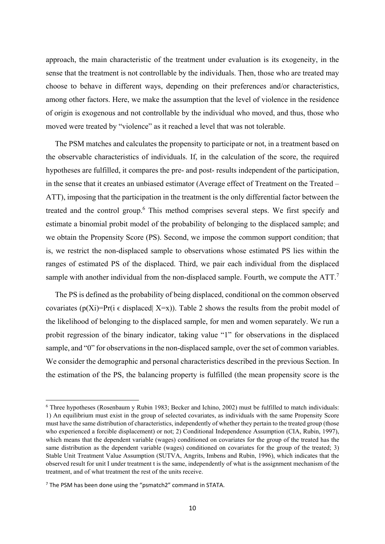approach, the main characteristic of the treatment under evaluation is its exogeneity, in the sense that the treatment is not controllable by the individuals. Then, those who are treated may choose to behave in different ways, depending on their preferences and/or characteristics, among other factors. Here, we make the assumption that the level of violence in the residence of origin is exogenous and not controllable by the individual who moved, and thus, those who moved were treated by "violence" as it reached a level that was not tolerable.

The PSM matches and calculates the propensity to participate or not, in a treatment based on the observable characteristics of individuals. If, in the calculation of the score, the required hypotheses are fulfilled, it compares the pre- and post- results independent of the participation, in the sense that it creates an unbiased estimator (Average effect of Treatment on the Treated – ATT), imposing that the participation in the treatment is the only differential factor between the treated and the control group.<sup>6</sup> This method comprises several steps. We first specify and estimate a binomial probit model of the probability of belonging to the displaced sample; and we obtain the Propensity Score (PS). Second, we impose the common support condition; that is, we restrict the non-displaced sample to observations whose estimated PS lies within the ranges of estimated PS of the displaced. Third, we pair each individual from the displaced sample with another individual from the non-displaced sample. Fourth, we compute the ATT.<sup>7</sup>

The PS is defined as the probability of being displaced, conditional on the common observed covariates (p(Xi)=Pr(i  $\epsilon$  displaced X=x)). Table 2 shows the results from the probit model of the likelihood of belonging to the displaced sample, for men and women separately. We run a probit regression of the binary indicator, taking value "1" for observations in the displaced sample, and "0" for observations in the non-displaced sample, over the set of common variables. We consider the demographic and personal characteristics described in the previous Section. In the estimation of the PS, the balancing property is fulfilled (the mean propensity score is the

<sup>6</sup> Three hypotheses (Rosenbaum y Rubin 1983; Becker and Ichino, 2002) must be fulfilled to match individuals: 1) An equilibrium must exist in the group of selected covariates, as individuals with the same Propensity Score must have the same distribution of characteristics, independently of whether they pertain to the treated group (those who experienced a forcible displacement) or not; 2) Conditional Independence Assumption (CIA, Rubin, 1997), which means that the dependent variable (wages) conditioned on covariates for the group of the treated has the same distribution as the dependent variable (wages) conditioned on covariates for the group of the treated; 3) Stable Unit Treatment Value Assumption (SUTVA, Angrits, Imbens and Rubin, 1996), which indicates that the observed result for unit I under treatment t is the same, independently of what is the assignment mechanism of the treatment, and of what treatment the rest of the units receive.

 $<sup>7</sup>$  The PSM has been done using the "psmatch2" command in STATA.</sup>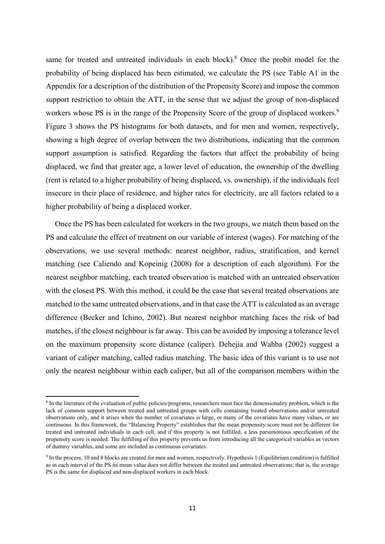same for treated and untreated individuals in each block).<sup>8</sup> Once the probit model for the probability of being displaced has been estimated, we calculate the PS (see Table A1 in the Appendix for a description of the distribution of the Propensity Score) and impose the common support restriction to obtain the ATT, in the sense that we adjust the group of non-displaced workers whose PS is in the range of the Propensity Score of the group of displaced workers.<sup>9</sup> Figure 3 shows the PS histograms for both datasets, and for men and women, respectively, showing a high degree of overlap between the two distributions, indicating that the common support assumption is satisfied. Regarding the factors that affect the probability of being displaced, we find that greater age, a lower level of education, the ownership of the dwelling (rent is related to a higher probability of being displaced, vs. ownership), if the individuals feel insecure in their place of residence, and higher rates for electricity, are all factors related to a higher probability of being a displaced worker.

Once the PS has been calculated for workers in the two groups, we match them based on the PS and calculate the effect of treatment on our variable of interest (wages). For matching of the observations, we use several methods: nearest neighbor, radius, stratification, and kernel matching (see Caliendo and Kopeinig (2008) for a description of each algorithm). For the nearest neighbor matching, each treated observation is matched with an untreated observation with the closest PS. With this method, it could be the case that several treated observations are matched to the same untreated observations, and in that case the ATT is calculated as an average difference (Becker and Ichino, 2002). But nearest neighbor matching faces the risk of bad matches, if the closest neighbour is far away. This can be avoided by imposing a tolerance level on the maximum propensity score distance (caliper). Dehejia and Wahba (2002) suggest a variant of caliper matching, called radius matching. The basic idea of this variant is to use not only the nearest neighbour within each caliper, but all of the comparison members within the

<sup>8</sup> In the literature of the evaluation of public policies/programs, researchers must face the dimensionality problem, which is the lack of common support between treated and untreated groups with cells containing treated observations and/or untreated observations only, and it arises when the number of covariates is large, or many of the covariates have many values, or are continuous. In this framework, the "Balancing Property" establishes that the mean propensity score must not be different for treated and untreated individuals in each cell, and if this property is not fulfilled, a less parsimonious specification of the propensity score is needed. The fulfilling of this property prevents us from introducing all the categorical variables as vectors of dummy variables, and some are included as continuous covariates.

<sup>9</sup> In the process, 10 and 8 blocks are created for men and women, respectively. Hypothesis 1 (Equilibrium condition) is fulfilled as in each interval of the PS its mean value does not differ between the treated and untreated observations; that is, the average PS is the same for displaced and non-displaced workers in each block.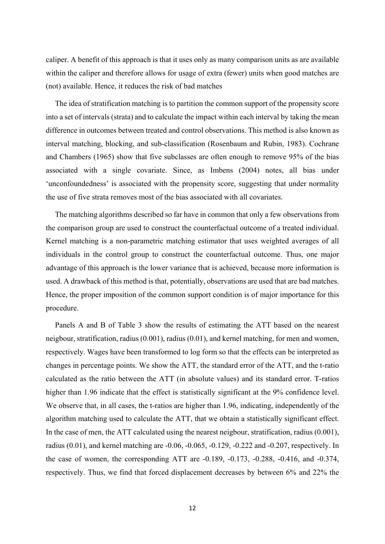caliper. A benefit of this approach is that it uses only as many comparison units as are available within the caliper and therefore allows for usage of extra (fewer) units when good matches are (not) available. Hence, it reduces the risk of bad matches

The idea of stratification matching is to partition the common support of the propensity score into a set of intervals (strata) and to calculate the impact within each interval by taking the mean difference in outcomes between treated and control observations. This method is also known as interval matching, blocking, and sub-classification (Rosenbaum and Rubin, 1983). Cochrane and Chambers (1965) show that five subclasses are often enough to remove 95% of the bias associated with a single covariate. Since, as Imbens (2004) notes, all bias under 'unconfoundedness' is associated with the propensity score, suggesting that under normality the use of five strata removes most of the bias associated with all covariates.

The matching algorithms described so far have in common that only a few observations from the comparison group are used to construct the counterfactual outcome of a treated individual. Kernel matching is a non-parametric matching estimator that uses weighted averages of all individuals in the control group to construct the counterfactual outcome. Thus, one major advantage of this approach is the lower variance that is achieved, because more information is used. A drawback of this method is that, potentially, observations are used that are bad matches. Hence, the proper imposition of the common support condition is of major importance for this procedure.

Panels A and B of Table 3 show the results of estimating the ATT based on the nearest neigbour, stratification, radius (0.001), radius (0.01), and kernel matching, for men and women, respectively. Wages have been transformed to log form so that the effects can be interpreted as changes in percentage points. We show the ATT, the standard error of the ATT, and the t-ratio calculated as the ratio between the ATT (in absolute values) and its standard error. T-ratios higher than 1.96 indicate that the effect is statistically significant at the 9% confidence level. We observe that, in all cases, the t-ratios are higher than 1.96, indicating, independently of the algorithm matching used to calculate the ATT, that we obtain a statistically significant effect. In the case of men, the ATT calculated using the nearest neigbour, stratification, radius (0.001), radius (0.01), and kernel matching are -0.06, -0.065, -0.129, -0.222 and -0.207, respectively. In the case of women, the corresponding ATT are -0.189, -0.173, -0.288, -0.416, and -0.374, respectively. Thus, we find that forced displacement decreases by between 6% and 22% the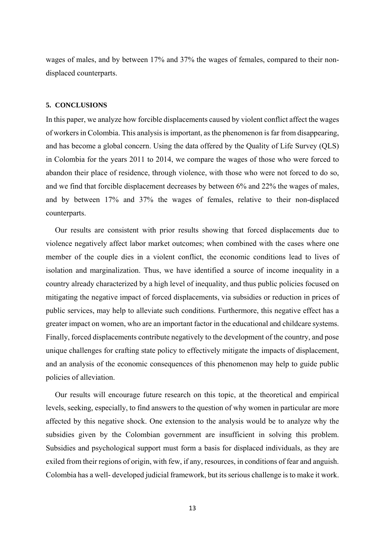wages of males, and by between 17% and 37% the wages of females, compared to their nondisplaced counterparts.

#### **5. CONCLUSIONS**

In this paper, we analyze how forcible displacements caused by violent conflict affect the wages of workers in Colombia. This analysis is important, as the phenomenon is far from disappearing, and has become a global concern. Using the data offered by the Quality of Life Survey (QLS) in Colombia for the years 2011 to 2014, we compare the wages of those who were forced to abandon their place of residence, through violence, with those who were not forced to do so, and we find that forcible displacement decreases by between 6% and 22% the wages of males, and by between 17% and 37% the wages of females, relative to their non-displaced counterparts.

Our results are consistent with prior results showing that forced displacements due to violence negatively affect labor market outcomes; when combined with the cases where one member of the couple dies in a violent conflict, the economic conditions lead to lives of isolation and marginalization. Thus, we have identified a source of income inequality in a country already characterized by a high level of inequality, and thus public policies focused on mitigating the negative impact of forced displacements, via subsidies or reduction in prices of public services, may help to alleviate such conditions. Furthermore, this negative effect has a greater impact on women, who are an important factor in the educational and childcare systems. Finally, forced displacements contribute negatively to the development of the country, and pose unique challenges for crafting state policy to effectively mitigate the impacts of displacement, and an analysis of the economic consequences of this phenomenon may help to guide public policies of alleviation.

Our results will encourage future research on this topic, at the theoretical and empirical levels, seeking, especially, to find answers to the question of why women in particular are more affected by this negative shock. One extension to the analysis would be to analyze why the subsidies given by the Colombian government are insufficient in solving this problem. Subsidies and psychological support must form a basis for displaced individuals, as they are exiled from their regions of origin, with few, if any, resources, in conditions of fear and anguish. Colombia has a well- developed judicial framework, but its serious challenge is to make it work.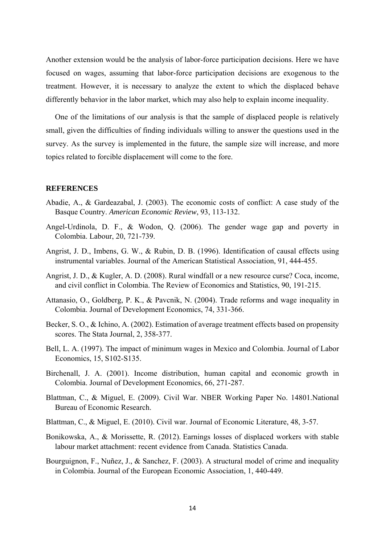Another extension would be the analysis of labor-force participation decisions. Here we have focused on wages, assuming that labor-force participation decisions are exogenous to the treatment. However, it is necessary to analyze the extent to which the displaced behave differently behavior in the labor market, which may also help to explain income inequality.

One of the limitations of our analysis is that the sample of displaced people is relatively small, given the difficulties of finding individuals willing to answer the questions used in the survey. As the survey is implemented in the future, the sample size will increase, and more topics related to forcible displacement will come to the fore.

#### **REFERENCES**

- Abadie, A., & Gardeazabal, J. (2003). The economic costs of conflict: A case study of the Basque Country. *American Economic Review*, 93, 113-132.
- Angel-Urdinola, D. F., & Wodon, Q. (2006). The gender wage gap and poverty in Colombia. Labour, 20, 721-739.
- Angrist, J. D., Imbens, G. W., & Rubin, D. B. (1996). Identification of causal effects using instrumental variables. Journal of the American Statistical Association, 91, 444-455.
- Angrist, J. D., & Kugler, A. D. (2008). Rural windfall or a new resource curse? Coca, income, and civil conflict in Colombia. The Review of Economics and Statistics, 90, 191-215.
- Attanasio, O., Goldberg, P. K., & Pavcnik, N. (2004). Trade reforms and wage inequality in Colombia. Journal of Development Economics, 74, 331-366.
- Becker, S. O., & Ichino, A. (2002). Estimation of average treatment effects based on propensity scores. The Stata Journal, 2, 358-377.
- Bell, L. A. (1997). The impact of minimum wages in Mexico and Colombia. Journal of Labor Economics, 15, S102-S135.
- Birchenall, J. A. (2001). Income distribution, human capital and economic growth in Colombia. Journal of Development Economics, 66, 271-287.
- Blattman, C., & Miguel, E. (2009). Civil War. NBER Working Paper No. 14801.National Bureau of Economic Research.
- Blattman, C., & Miguel, E. (2010). Civil war. Journal of Economic Literature, 48, 3-57.
- Bonikowska, A., & Morissette, R. (2012). Earnings losses of displaced workers with stable labour market attachment: recent evidence from Canada. Statistics Canada.
- Bourguignon, F., Nuñez, J., & Sanchez, F. (2003). A structural model of crime and inequality in Colombia. Journal of the European Economic Association, 1, 440-449.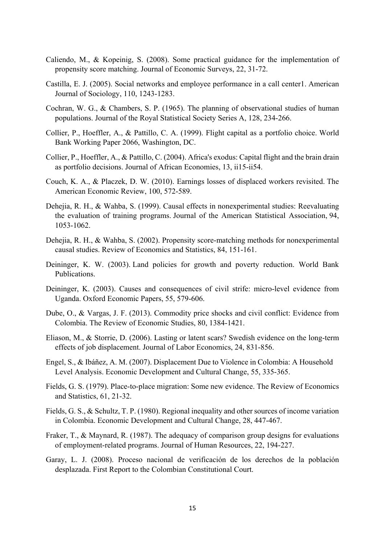- Caliendo, M., & Kopeinig, S. (2008). Some practical guidance for the implementation of propensity score matching. Journal of Economic Surveys, 22, 31-72.
- Castilla, E. J. (2005). Social networks and employee performance in a call center1. American Journal of Sociology, 110, 1243-1283.
- Cochran, W. G., & Chambers, S. P. (1965). The planning of observational studies of human populations. Journal of the Royal Statistical Society Series A, 128, 234-266.
- Collier, P., Hoeffler, A., & Pattillo, C. A. (1999). Flight capital as a portfolio choice. World Bank Working Paper 2066, Washington, DC.
- Collier, P., Hoeffler, A., & Pattillo, C. (2004). Africa's exodus: Capital flight and the brain drain as portfolio decisions. Journal of African Economies, 13, ii15-ii54.
- Couch, K. A., & Placzek, D. W. (2010). Earnings losses of displaced workers revisited. The American Economic Review, 100, 572-589.
- Dehejia, R. H., & Wahba, S. (1999). Causal effects in nonexperimental studies: Reevaluating the evaluation of training programs. Journal of the American Statistical Association, 94, 1053-1062.
- Dehejia, R. H., & Wahba, S. (2002). Propensity score-matching methods for nonexperimental causal studies. Review of Economics and Statistics, 84, 151-161.
- Deininger, K. W. (2003). Land policies for growth and poverty reduction. World Bank Publications.
- Deininger, K. (2003). Causes and consequences of civil strife: micro-level evidence from Uganda. Oxford Economic Papers, 55, 579-606.
- Dube, O., & Vargas, J. F. (2013). Commodity price shocks and civil conflict: Evidence from Colombia. The Review of Economic Studies, 80, 1384-1421.
- Eliason, M., & Storrie, D. (2006). Lasting or latent scars? Swedish evidence on the long-term effects of job displacement. Journal of Labor Economics, 24, 831-856.
- Engel, S., & Ibáñez, A. M. (2007). Displacement Due to Violence in Colombia: A Household Level Analysis. Economic Development and Cultural Change, 55, 335-365.
- Fields, G. S. (1979). Place-to-place migration: Some new evidence. The Review of Economics and Statistics, 61, 21-32.
- Fields, G. S., & Schultz, T. P. (1980). Regional inequality and other sources of income variation in Colombia. Economic Development and Cultural Change, 28, 447-467.
- Fraker, T., & Maynard, R. (1987). The adequacy of comparison group designs for evaluations of employment-related programs. Journal of Human Resources, 22, 194-227.
- Garay, L. J. (2008). Proceso nacional de verificación de los derechos de la población desplazada. First Report to the Colombian Constitutional Court.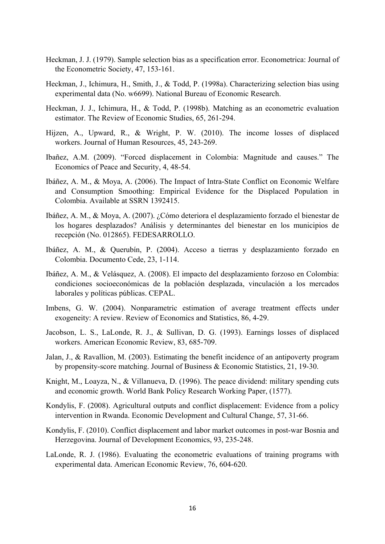- Heckman, J. J. (1979). Sample selection bias as a specification error. Econometrica: Journal of the Econometric Society, 47, 153-161.
- Heckman, J., Ichimura, H., Smith, J., & Todd, P. (1998a). Characterizing selection bias using experimental data (No. w6699). National Bureau of Economic Research.
- Heckman, J. J., Ichimura, H., & Todd, P. (1998b). Matching as an econometric evaluation estimator. The Review of Economic Studies, 65, 261-294.
- Hijzen, A., Upward, R., & Wright, P. W. (2010). The income losses of displaced workers. Journal of Human Resources, 45, 243-269.
- Ibañez, A.M. (2009). "Forced displacement in Colombia: Magnitude and causes." The Economics of Peace and Security, 4, 48-54.
- Ibáñez, A. M., & Moya, A. (2006). The Impact of Intra-State Conflict on Economic Welfare and Consumption Smoothing: Empirical Evidence for the Displaced Population in Colombia. Available at SSRN 1392415.
- Ibáñez, A. M., & Moya, A. (2007). ¿Cómo deteriora el desplazamiento forzado el bienestar de los hogares desplazados? Análisis y determinantes del bienestar en los municipios de recepción (No. 012865). FEDESARROLLO.
- Ibáñez, A. M., & Querubín, P. (2004). Acceso a tierras y desplazamiento forzado en Colombia. Documento Cede, 23, 1-114.
- Ibáñez, A. M., & Velásquez, A. (2008). El impacto del desplazamiento forzoso en Colombia: condiciones socioeconómicas de la población desplazada, vinculación a los mercados laborales y políticas públicas. CEPAL.
- Imbens, G. W. (2004). Nonparametric estimation of average treatment effects under exogeneity: A review. Review of Economics and Statistics, 86, 4-29.
- Jacobson, L. S., LaLonde, R. J., & Sullivan, D. G. (1993). Earnings losses of displaced workers. American Economic Review, 83, 685-709.
- Jalan, J., & Ravallion, M. (2003). Estimating the benefit incidence of an antipoverty program by propensity-score matching. Journal of Business & Economic Statistics, 21, 19-30.
- Knight, M., Loayza, N., & Villanueva, D. (1996). The peace dividend: military spending cuts and economic growth. World Bank Policy Research Working Paper, (1577).
- Kondylis, F. (2008). Agricultural outputs and conflict displacement: Evidence from a policy intervention in Rwanda. Economic Development and Cultural Change, 57, 31-66.
- Kondylis, F. (2010). Conflict displacement and labor market outcomes in post-war Bosnia and Herzegovina. Journal of Development Economics, 93, 235-248.
- LaLonde, R. J. (1986). Evaluating the econometric evaluations of training programs with experimental data. American Economic Review, 76, 604-620.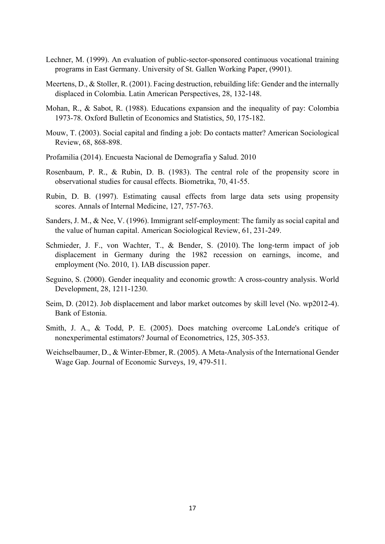- Lechner, M. (1999). An evaluation of public-sector-sponsored continuous vocational training programs in East Germany. University of St. Gallen Working Paper, (9901).
- Meertens, D., & Stoller, R. (2001). Facing destruction, rebuilding life: Gender and the internally displaced in Colombia. Latin American Perspectives, 28, 132-148.
- Mohan, R., & Sabot, R. (1988). Educations expansion and the inequality of pay: Colombia 1973-78. Oxford Bulletin of Economics and Statistics, 50, 175-182.
- Mouw, T. (2003). Social capital and finding a job: Do contacts matter? American Sociological Review, 68, 868-898.
- Profamilia (2014). Encuesta Nacional de Demografía y Salud. 2010
- Rosenbaum, P. R., & Rubin, D. B. (1983). The central role of the propensity score in observational studies for causal effects. Biometrika, 70, 41-55.
- Rubin, D. B. (1997). Estimating causal effects from large data sets using propensity scores. Annals of Internal Medicine, 127, 757-763.
- Sanders, J. M., & Nee, V. (1996). Immigrant self-employment: The family as social capital and the value of human capital. American Sociological Review, 61, 231-249.
- Schmieder, J. F., von Wachter, T., & Bender, S. (2010). The long-term impact of job displacement in Germany during the 1982 recession on earnings, income, and employment (No. 2010, 1). IAB discussion paper.
- Seguino, S. (2000). Gender inequality and economic growth: A cross-country analysis. World Development, 28, 1211-1230.
- Seim, D. (2012). Job displacement and labor market outcomes by skill level (No. wp2012-4). Bank of Estonia.
- Smith, J. A., & Todd, P. E. (2005). Does matching overcome LaLonde's critique of nonexperimental estimators? Journal of Econometrics, 125, 305-353.
- Weichselbaumer, D., & Winter-Ebmer, R. (2005). A Meta-Analysis of the International Gender Wage Gap. Journal of Economic Surveys, 19, 479-511.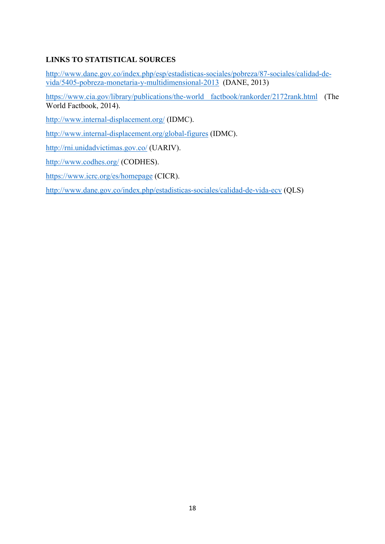### **LINKS TO STATISTICAL SOURCES**

http://www.dane.gov.co/index.php/esp/estadisticas-sociales/pobreza/87-sociales/calidad-devida/5405-pobreza-monetaria-y-multidimensional-2013 (DANE, 2013)

https://www.cia.gov/library/publications/the-world factbook/rankorder/2172rank.html (The World Factbook, 2014).

http://www.internal-displacement.org/ (IDMC).

http://www.internal-displacement.org/global-figures (IDMC).

http://rni.unidadvictimas.gov.co/ (UARIV).

http://www.codhes.org/ (CODHES).

https://www.icrc.org/es/homepage (CICR).

http://www.dane.gov.co/index.php/estadisticas-sociales/calidad-de-vida-ecv (QLS)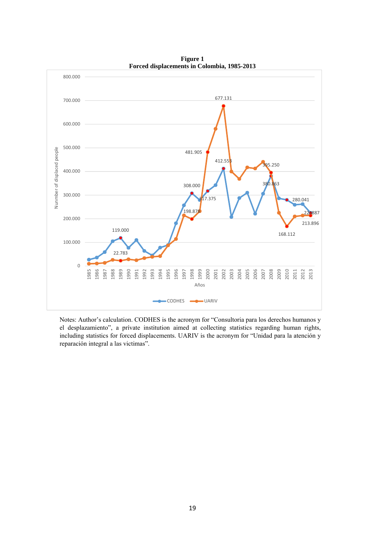

**Figure 1 Forced displacements in Colombia, 1985-2013** 

Notes: Author's calculation. CODHES is the acronym for "Consultoria para los derechos humanos y el desplazamiento", a prívate institution aimed at collecting statistics regarding human rights, including statistics for forced displacements. UARIV is the acronym for "Unidad para la atención y reparación integral a las victimas".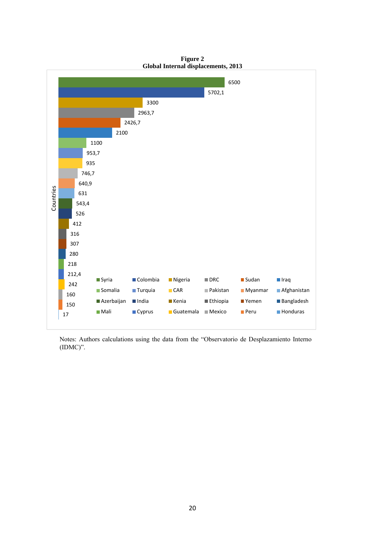

**Figure 2 Global Internal displacements, 2013** 

Notes: Authors calculations using the data from the "Observatorio de Desplazamiento Interno (IDMC)".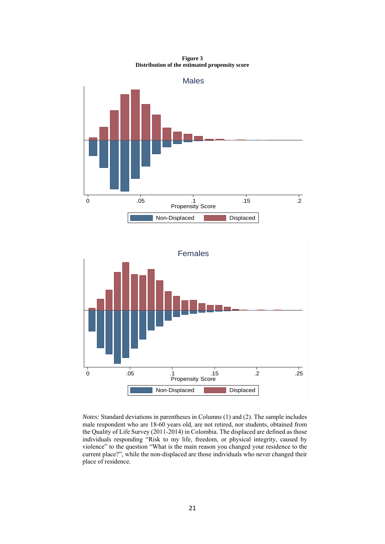



*Notes:* Standard deviations in parentheses in Columns (1) and (2). The sample includes male respondent who are 18-60 years old, are not retired, nor students, obtained from the Quality of Life Survey (2011-2014) in Colombia. The displaced are defined as those individuals responding "Risk to my life, freedom, or physical integrity, caused by violence" to the question "What is the main reason you changed your residence to the current place?", while the non-displaced are those individuals who never changed their place of residence.

**Figure 3 Distribution of the estimated propensity score**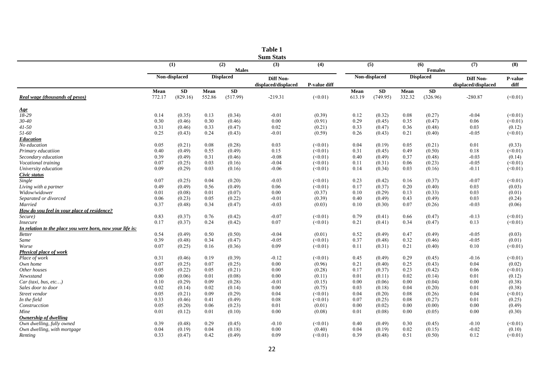|                                                           |              |                  |              |                  | <b>Table 1</b>                          |                    |              |                  |              |                  |                                         |                   |
|-----------------------------------------------------------|--------------|------------------|--------------|------------------|-----------------------------------------|--------------------|--------------|------------------|--------------|------------------|-----------------------------------------|-------------------|
|                                                           |              | (1)              |              | (2)              | <b>Sum Stats</b><br>(3)                 | (4)                |              | (5)              |              | (6)              | (7)                                     | (8)               |
|                                                           |              |                  |              | <b>Males</b>     |                                         |                    |              |                  |              | <b>Females</b>   |                                         |                   |
|                                                           |              | Non-displaced    |              | <b>Displaced</b> | <b>Diff Non-</b><br>displaced/displaced | P-value diff       |              | Non-displaced    |              | <b>Displaced</b> | <b>Diff Non-</b><br>displaced/displaced | P-value<br>diff   |
|                                                           | Mean         | ${\bf SD}$       | Mean         | SD               |                                         |                    | Mean         | SD               | Mean         | <b>SD</b>        |                                         |                   |
| Real wage (thousands of pesos)                            | 772.17       | (829.16)         | 552.86       | (517.99)         | $-219.31$                               | (<0.01)            | 613.19       | (749.95)         | 332.32       | (326.96)         | $-280.87$                               | (<0.01)           |
| <u>Age</u>                                                |              |                  |              |                  |                                         |                    |              |                  |              |                  |                                         |                   |
| 18-29                                                     | 0.14         | (0.35)           | 0.13         | (0.34)           | $-0.01$                                 | (0.39)             | 0.12         | (0.32)           | 0.08         | (0.27)           | $-0.04$                                 | (<0.01)           |
| $30 - 40$                                                 | 0.30         | (0.46)           | 0.30         | (0.46)           | 0.00                                    | (0.91)             | 0.29         | (0.45)           | 0.35         | (0.47)           | 0.06                                    | (<0.01)           |
| $41 - 50$                                                 | 0.31         | (0.46)           | 0.33         | (0.47)           | 0.02                                    | (0.21)             | 0.33         | (0.47)           | 0.36         | (0.48)           | 0.03                                    | (0.12)            |
| 51-60                                                     | 0.25         | (0.43)           | 0.24         | (0.43)           | $-0.01$                                 | (0.59)             | 0.26         | (0.43)           | 0.21         | (0.40)           | $-0.05$                                 | (<0.01)           |
| Education                                                 |              |                  |              |                  |                                         |                    |              |                  |              |                  |                                         |                   |
| No education                                              | 0.05<br>0.40 | (0.21)<br>(0.49) | 0.08<br>0.55 | (0.28)<br>(0.49) | 0.03<br>0.15                            | (<0.01)<br>(<0.01) | 0.04<br>0.31 | (0.19)<br>(0.45) | 0.05<br>0.49 | (0.21)           | 0.01<br>0.18                            | (0.33)<br>(<0.01) |
| Primary educatiion                                        |              |                  |              |                  |                                         |                    |              |                  |              | (0.50)           | $-0.03$                                 |                   |
| Secondary education                                       | 0.39<br>0.07 | (0.49)           | 0.31<br>0.03 | (0.46)           | $-0.08$<br>$-0.04$                      | (<0.01)<br>(<0.01) | 0.40         | (0.49)           | 0.37<br>0.06 | (0.48)           | $-0.05$                                 | (0.14)<br>(<0.01) |
| Vocational training                                       | 0.09         | (0.25)           | 0.03         | (0.16)           |                                         |                    | 0.11         | (0.31)           |              | (0.23)           |                                         |                   |
| University education                                      |              | (0.29)           |              | (0.16)           | $-0.06$                                 | (<0.01)            | 0.14         | (0.34)           | 0.03         | (0.16)           | $-0.11$                                 | (<0.01)           |
| Civic status<br>Single                                    | 0.07         | (0.25)           | 0.04         | (0.20)           | $-0.03$                                 | (<0.01)            | 0.23         | (0.42)           | 0.16         | (0.37)           | $-0.07$                                 | (<0.01)           |
| Living with a partner                                     | 0.49         | (0.49)           | 0.56         | (0.49)           | 0.06                                    | (<0.01)            | 0.17         | (0.37)           | 0.20         | (0.40)           | 0.03                                    | (0.03)            |
| Widow/widower                                             | 0.01         | (0.08)           | 0.01         | (0.07)           | 0.00                                    | (0.37)             | 0.10         | (0.29)           | 0.13         | (0.33)           | 0.03                                    | (0.01)            |
| Separated or divorced                                     | 0.06         | (0.23)           | 0.05         | (0.22)           | $-0.01$                                 | (0.39)             | 0.40         | (0.49)           | 0.43         | (0.49)           | 0.03                                    | (0.24)            |
| Married                                                   | 0.37         | (0.48)           | 0.34         | (0.47)           | $-0.03$                                 | (0.03)             | 0.10         | (0.30)           | 0.07         | (0.26)           | $-0.03$                                 | (0.06)            |
| How do you feel in your place of residence?               |              |                  |              |                  |                                         |                    |              |                  |              |                  |                                         |                   |
| Secure)                                                   | 0.83         | (0.37)           | 0.76         | (0.42)           | $-0.07$                                 | (<0.01)            | 0.79         | (0.41)           | 0.66         | (0.47)           | $-0.13$                                 | (<0.01)           |
| <b>Insecure</b>                                           | 0.17         | (0.37)           | 0.24         | (0.42)           | 0.07                                    | (<0.01)            | 0.21         | (0.41)           | 0.34         | (0.47)           | 0.13                                    | (<0.01)           |
| In relation to the place you were born, now your life is: |              |                  |              |                  |                                         |                    |              |                  |              |                  |                                         |                   |
| <b>Better</b>                                             | 0.54         | (0.49)           | 0.50         | (0.50)           | $-0.04$                                 | (0.01)             | 0.52         | (0.49)           | 0.47         | (0.49)           | $-0.05$                                 | (0.03)            |
| Same                                                      | 0.39         | (0.48)           | 0.34         | (0.47)           | $-0.05$                                 | (<0.01)            | 0.37         | (0.48)           | 0.32         | (0.46)           | $-0.05$                                 | (0.01)            |
| Worse                                                     | 0.07         | (0.25)           | 0.16         | (0.36)           | 0.09                                    | (<0.01)            | 0.11         | (0.31)           | 0.21         | (0.40)           | $0.10\,$                                | (<0.01)           |
| <b>Physical place of work</b>                             |              |                  |              |                  |                                         |                    |              |                  |              |                  |                                         |                   |
| Place of work                                             | 0.31         | (0.46)           | 0.19         | (0.39)           | $-0.12$                                 | (<0.01)            | 0.45         | (0.49)           | 0.29         | (0.45)           | $-0.16$                                 | (<0.01)           |
| Own home                                                  | 0.07         | (0.25)           | 0.07         | (0.25)           | 0.00                                    | (0.96)             | 0.21         | (0.40)           | 0.25         | (0.43)           | 0.04                                    | (0.02)            |
| Other houses                                              | 0.05         | (0.22)           | 0.05         | (0.21)           | 0.00                                    | (0.28)             | 0.17         | (0.37)           | 0.23         | (0.42)           | 0.06                                    | (<0.01)           |
| Newsstand                                                 | 0.00         | (0.06)           | 0.01         | (0.08)           | 0.00                                    | (0.11)             | 0.01         | (0.11)           | 0.02         | (0.14)           | 0.01                                    | (0.12)            |
| Car (taxi, bus, etc)                                      | 0.10         | (0.29)           | 0.09         | (0.28)           | $-0.01$                                 | (0.15)             | 0.00         | (0.06)           | 0.00         | (0.04)           | 0.00                                    | (0.38)            |
| Sales door to door                                        | 0.02         | (0.14)           | 0.02         | (0.14)           | 0.00                                    | (0.75)             | 0.03         | (0.18)           | 0.04         | (0.20)           | 0.01                                    | (0.38)            |
| Street vendor                                             | 0.05         | (0.21)           | 0.09         | (0.29)           | 0.04                                    | (<0.01)            | 0.04         | (0.20)           | 0.08         | (0.26)           | 0.04                                    | (<0.01)           |
| In the field                                              | 0.33         | (0.46)           | 0.41         | (0.49)           | 0.08                                    | (<0.01)            | 0.07         | (0.25)           | 0.08         | (0.27)           | 0.01                                    | (0.25)            |
| Construcction                                             | 0.05         | (0.20)           | 0.06         | (0.23)           | 0.01                                    | (0.01)             | 0.00         | (0.02)           | 0.00         | (0.00)           | 0.00                                    | (0.49)            |
| Mine                                                      | 0.01         | (0.12)           | 0.01         | (0.10)           | 0.00                                    | (0.08)             | 0.01         | (0.08)           | 0.00         | (0.05)           | 0.00                                    | (0.30)            |
| Ownership of dwelling                                     |              |                  |              |                  |                                         |                    |              |                  |              |                  |                                         |                   |
| Own dwelling, fully owned                                 | 0.39         | (0.48)           | 0.29         | (0.45)           | $-0.10$                                 | (<0.01)            | 0.40         | (0.49)           | 0.30         | (0.45)           | $-0.10$                                 | (<0.01)           |
| Own dwelling, with mortgage                               | 0.04         | (0.19)           | 0.04         | (0.18)           | 0.00                                    | (0.40)             | 0.04         | (0.19)           | 0.02         | (0.15)           | $-0.02$                                 | (0.10)            |
| Renting                                                   | 0.33         | (0.47)           | 0.42         | (0.49)           | 0.09                                    | (<0.01)            | 0.39         | (0.48)           | 0.51         | (0.50)           | 0.12                                    | (<0.01)           |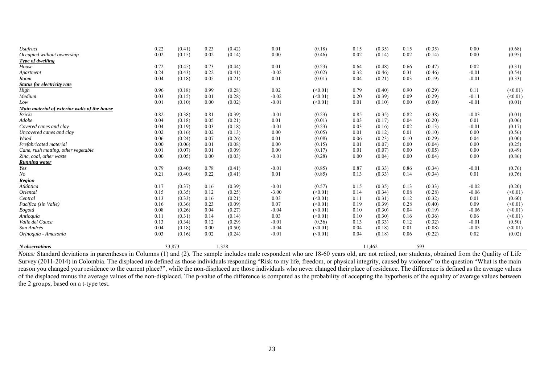| N observations                               |      | 33,873 |      | 1,328  |         |              |      | 11,462 |      | 593    |         |         |
|----------------------------------------------|------|--------|------|--------|---------|--------------|------|--------|------|--------|---------|---------|
|                                              |      |        |      |        |         |              |      |        |      |        |         |         |
| Orinoquía - Amazonía                         | 0.03 | (0.16) | 0.02 | (0.24) | $-0.01$ | (<0.01)      | 0.04 | (0.18) | 0.06 | (0.22) | 0.02    | (0.02)  |
| San Andrés                                   | 0.04 | (0.18) | 0.00 | (0.50) | $-0.04$ | (<0.01)      | 0.04 | (0.18) | 0.01 | (0.08) | $-0.03$ | (<0.01) |
| Valle del Cauca                              | 0.13 | (0.34) | 0.12 | (0.29) | $-0.01$ | (0.36)       | 0.13 | (0.33) | 0.12 | (0.32) | $-0.01$ | (0.50)  |
| Antioquía                                    | 0.11 | (0.31) | 0.14 | (0.14) | 0.03    | $(\le 0.01)$ | 0.10 | (0.30) | 0.16 | (0.36) | 0.06    | (<0.01) |
| Bogotá                                       | 0.08 | (0.26) | 0.04 | (0.27) | $-0.04$ | $(\le 0.01)$ | 0.10 | (0.30) | 0.04 | (0.19) | $-0.06$ | (<0.01) |
| Pacífica (sin Valle)                         | 0.16 | (0.36) | 0.23 | (0.09) | 0.07    | (<0.01)      | 0.19 | (0.39) | 0.28 | (0.40) | 0.09    | (<0.01) |
| Central                                      | 0.13 | (0.33) | 0.16 | (0.21) | 0.03    | (<0.01)      | 0.11 | (0.31) | 0.12 | (0.32) | 0.01    | (0.60)  |
| Oriental                                     | 0.15 | (0.35) | 0.12 | (0.25) | $-3.00$ | (<0.01)      | 0.14 | (0.34) | 0.08 | (0.28) | $-0.06$ | (<0.01) |
| Atlántica                                    | 0.17 | (0.37) | 0.16 | (0.39) | $-0.01$ | (0.57)       | 0.15 | (0.35) | 0.13 | (0.33) | $-0.02$ | (0.20)  |
| <b>Region</b>                                |      |        |      |        |         |              |      |        |      |        |         |         |
| No                                           | 0.21 | (0.40) | 0.22 | (0.41) | 0.01    | (0.85)       | 0.13 | (0.33) | 0.14 | (0.34) | 0.01    | (0.76)  |
| Yes                                          | 0.79 | (0.40) | 0.78 | (0.41) | $-0.01$ | (0.85)       | 0.87 | (0.33) | 0.86 | (0.34) | $-0.01$ | (0.76)  |
| <b>Running water</b>                         |      |        |      |        |         |              |      |        |      |        |         |         |
| Zinc, coal, other waste                      | 0.00 | (0.05) | 0.00 | (0.03) | $-0.01$ | (0.28)       | 0.00 | (0.04) | 0.00 | (0.04) | 0.00    | (0.86)  |
| Cane, rush matting, other vegetable          | 0.01 | (0.07) | 0.01 | (0.09) | 0.00    | (0.17)       | 0.01 | (0.07) | 0.00 | (0.05) | 0.00    | (0.49)  |
| Prefabricated material                       | 0.00 | (0.06) | 0.01 | (0.08) | 0.00    | (0.15)       | 0.01 | (0.07) | 0.00 | (0.04) | 0.00    | (0.25)  |
| Wood                                         | 0.06 | (0.24) | 0.07 | (0.26) | 0.01    | (0.08)       | 0.06 | (0.23) | 0.10 | (0.29) | 0.04    | (0.00)  |
| Uncovered canes and clay                     | 0.02 | (0.16) | 0.02 | (0.13) | 0.00    | (0.05)       | 0.01 | (0.12) | 0.01 | (0.10) | 0.00    | (0.56)  |
| Covered canes and clay                       | 0.04 | (0.19) | 0.03 | (0.18) | $-0.01$ | (0.23)       | 0.03 | (0.16) | 0.02 | (0.13) | $-0.01$ | (0.17)  |
| Adobe                                        | 0.04 | (0.18) | 0.05 | (0.21) | 0.01    | (0.01)       | 0.03 | (0.17) | 0.04 | (0.20) | 0.01    | (0.06)  |
| <b>Bricks</b>                                | 0.82 | (0.38) | 0.81 | (0.39) | $-0.01$ | (0.23)       | 0.85 | (0.35) | 0.82 | (0.38) | $-0.03$ | (0.01)  |
| Main material of exterior walls of the house |      |        |      |        |         |              |      |        |      |        |         |         |
| Low                                          | 0.01 | (0.10) | 0.00 | (0.02) | $-0.01$ | (<0.01)      | 0.01 | (0.10) | 0.00 | (0.00) | $-0.01$ | (0.01)  |
| Medium                                       | 0.03 | (0.15) | 0.01 | (0.28) | $-0.02$ | (<0.01)      | 0.20 | (0.39) | 0.09 | (0.29) | $-0.11$ | (<0.01) |
| High                                         | 0.96 | (0.18) | 0.99 | (0.28) | 0.02    | (<0.01)      | 0.79 | (0.40) | 0.90 | (0.29) | 0.11    | (<0.01) |
| <b>Status for electricity rate</b>           |      |        |      |        |         |              |      |        |      |        |         |         |
| Room                                         | 0.04 | (0.18) | 0.05 | (0.21) | 0.01    | (0.01)       | 0.04 | (0.21) | 0.03 | (0.19) | $-0.01$ | (0.33)  |
| Apartment                                    | 0.24 | (0.43) | 0.22 | (0.41) | $-0.02$ | (0.02)       | 0.32 | (0.46) | 0.31 | (0.46) | $-0.01$ | (0.54)  |
| House                                        | 0.72 | (0.45) | 0.73 | (0.44) | 0.01    | (0.23)       | 0.64 | (0.48) | 0.66 | (0.47) | 0.02    | (0.31)  |
| Type of dwelling                             |      |        |      |        |         |              |      |        |      |        |         |         |
| Occupied without ownership                   | 0.02 | (0.15) | 0.02 | (0.14) | 0.00    | (0.46)       | 0.02 | (0.14) | 0.02 | (0.14) | 0.00    | (0.95)  |
| <b>Usufruct</b>                              | 0.22 | (0.41) | 0.23 | (0.42) | 0.01    | (0.18)       | 0.15 | (0.35) | 0.15 | (0.35) | 0.00    | (0.68)  |

*Notes:* Standard deviations in parentheses in Columns (1) and (2). The sample includes male respondent who are 18-60 years old, are not retired, nor students, obtained from the Quality of Life Survey (2011-2014) in Colombia. The displaced are defined as those individuals responding "Risk to my life, freedom, or physical integrity, caused by violence" to the question "What is the main reason you changed your residence to the current place?", while the non-displaced are those individuals who never changed their place of residence. The difference is defined as the average values of the displaced minus the average values of the non-displaced. The p-value of the difference is computed as the probability of accepting the hypothesis of the equality of average values between the 2 groups, based on a t-type test.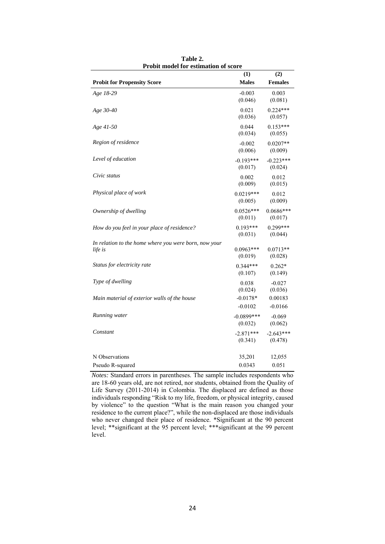|                                                                  | (1)                     | (2)                    |
|------------------------------------------------------------------|-------------------------|------------------------|
| <b>Probit for Propensity Score</b>                               | <b>Males</b>            | <b>Females</b>         |
| Age 18-29                                                        | $-0.003$<br>(0.046)     | 0.003<br>(0.081)       |
| Age 30-40                                                        | 0.021<br>(0.036)        | $0.224***$<br>(0.057)  |
| Age 41-50                                                        | 0.044<br>(0.034)        | $0.153***$<br>(0.055)  |
| Region of residence                                              | $-0.002$<br>(0.006)     | $0.0207**$<br>(0.009)  |
| Level of education                                               | $-0.193***$<br>(0.017)  | $-0.223***$<br>(0.024) |
| Civic status                                                     | 0.002<br>(0.009)        | 0.012<br>(0.015)       |
| Physical place of work                                           | $0.0219***$<br>(0.005)  | 0.012<br>(0.009)       |
| Ownership of dwelling                                            | $0.0526***$<br>(0.011)  | $0.0686***$<br>(0.017) |
| How do you feel in your place of residence?                      | $0.193***$<br>(0.031)   | $0.299***$<br>(0.044)  |
| In relation to the home where you were born, now your<br>life is | $0.0963***$<br>(0.019)  | $0.0713**$<br>(0.028)  |
| Status for electricity rate                                      | $0.344***$<br>(0.107)   | $0.262*$<br>(0.149)    |
| Type of dwelling                                                 | 0.038<br>(0.024)        | $-0.027$<br>(0.036)    |
| Main material of exterior walls of the house                     | $-0.0178*$<br>$-0.0102$ | 0.00183<br>$-0.0166$   |
| Running water                                                    | $-0.0899***$<br>(0.032) | $-0.069$<br>(0.062)    |
| Constant                                                         | $-2.871***$<br>(0.341)  | $-2.643***$<br>(0.478) |
| N Observations                                                   | 35,201                  | 12,055                 |
| Pseudo R-squared                                                 | 0.0343                  | 0.051                  |

**Table 2. Probit model for estimation of score** 

*Notes:* Standard errors in parentheses. The sample includes respondents who are 18-60 years old, are not retired, nor students, obtained from the Quality of Life Survey (2011-2014) in Colombia. The displaced are defined as those individuals responding "Risk to my life, freedom, or physical integrity, caused by violence" to the question "What is the main reason you changed your residence to the current place?", while the non-displaced are those individuals who never changed their place of residence. \*Significant at the 90 percent level; \*\*significant at the 95 percent level; \*\*\*significant at the 99 percent level.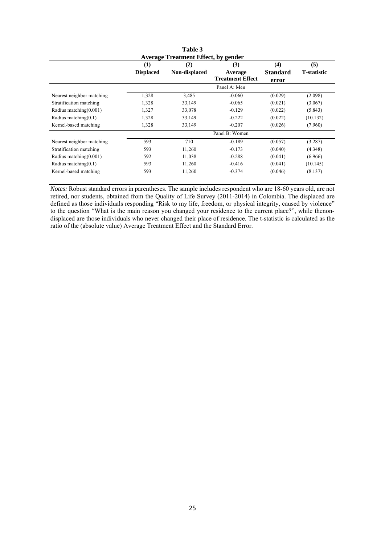|                           |                         | Table 3<br><b>Average Treatment Effect, by gender</b> |                                           |                                 |                            |
|---------------------------|-------------------------|-------------------------------------------------------|-------------------------------------------|---------------------------------|----------------------------|
|                           | (1)<br><b>Displaced</b> | (2)<br>Non-displaced                                  | (3)<br>Average<br><b>Treatment Effect</b> | (4)<br><b>Standard</b><br>error | (5)<br><b>T</b> -statistic |
|                           |                         |                                                       | Panel A: Men                              |                                 |                            |
| Nearest neighbor matching | 1,328                   | 3,485                                                 | $-0.060$                                  | (0.029)                         | (2.098)                    |
| Stratification matching   | 1,328                   | 33,149                                                | $-0.065$                                  | (0.021)                         | (3.067)                    |
| Radius matching $(0.001)$ | 1,327                   | 33,078                                                | $-0.129$                                  | (0.022)                         | (5.843)                    |
| Radius matching $(0.1)$   | 1,328                   | 33,149                                                | $-0.222$                                  | (0.022)                         | (10.132)                   |
| Kernel-based matching     | 1,328                   | 33,149                                                | $-0.207$                                  | (0.026)                         | (7.960)                    |
|                           |                         |                                                       | Panel B: Women                            |                                 |                            |
| Nearest neighbor matching | 593                     | 710                                                   | $-0.189$                                  | (0.057)                         | (3.287)                    |
| Stratification matching   | 593                     | 11,260                                                | $-0.173$                                  | (0.040)                         | (4.348)                    |
| Radius matching $(0.001)$ | 592                     | 11,038                                                | $-0.288$                                  | (0.041)                         | (6.966)                    |
| Radius matching $(0.1)$   | 593                     | 11,260                                                | $-0.416$                                  | (0.041)                         | (10.145)                   |
| Kernel-based matching     | 593                     | 11,260                                                | $-0.374$                                  | (0.046)                         | (8.137)                    |

*Notes:* Robust standard errors in parentheses. The sample includes respondent who are 18-60 years old, are not retired, nor students, obtained from the Quality of Life Survey (2011-2014) in Colombia. The displaced are defined as those individuals responding "Risk to my life, freedom, or physical integrity, caused by violence" to the question "What is the main reason you changed your residence to the current place?", while thenondisplaced are those individuals who never changed their place of residence. The t-statistic is calculated as the ratio of the (absolute value) Average Treatment Effect and the Standard Error.